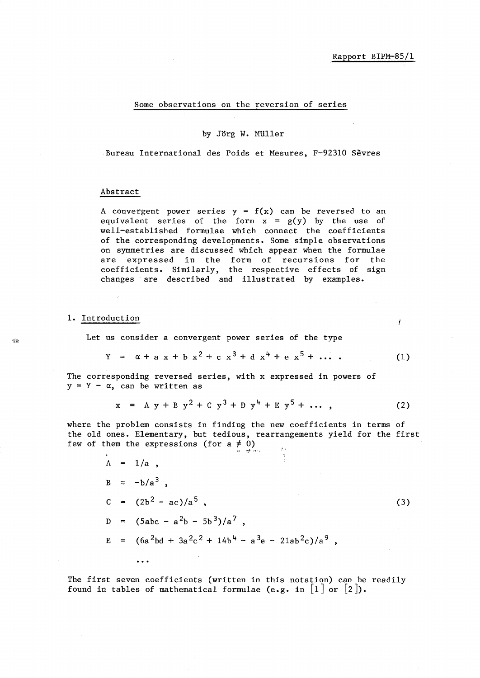f

### Some observations on the reversion of series

#### by Jorg W. MUller

Bureau International des Poids et Mesures, F-92310 Sèvres

#### Abstract

A convergent power series  $y = f(x)$  can be reversed to an equivalent series of the form  $x = g(y)$  by the use of well-established formulae which connect the coefficients of the corresponding developments. Some simple observations on symmetries are discussed which appear when the formulae are expressed in the form of recursions for the coefficients. Similarly, the respective effects of sign changes are described and illustrated by examples.

### 1. Introduction

Let us consider a convergent power series of the type

$$
Y = \alpha + a x + b x2 + c x3 + d x4 + e x5 + ... \t(1)
$$

The corresponding reversed series, with x expressed in powers of  $y = Y - \alpha$ , can be written as

$$
x = Ay + By2 + Cy3 + Dy4 + Ey5 + ... ,
$$
 (2)

where the problem consists in finding the new coefficients in terms of the old ones. Elementary, but tedious, rearrangements yield for the first few of them the expressions (for a  $\neq$  0)  $\mu$  ;

$$
A = 1/a,
$$
  
\n
$$
B = -b/a^{3},
$$
  
\n
$$
C = (2b^{2} - ac)/a^{5},
$$
  
\n
$$
D = (5abc - a^{2}b - 5b^{3})/a^{7},
$$
  
\n
$$
E = (6a^{2}bd + 3a^{2}c^{2} + 14b^{4} - a^{3}e - 21ab^{2}c)/a^{9},
$$
  
\n(3)

The first seven coefficients (written in this notation) can be readily found in tables of mathematical formulae (e.g. in  $\lceil 1 \rceil$  or  $\lceil 2 \rceil$ ).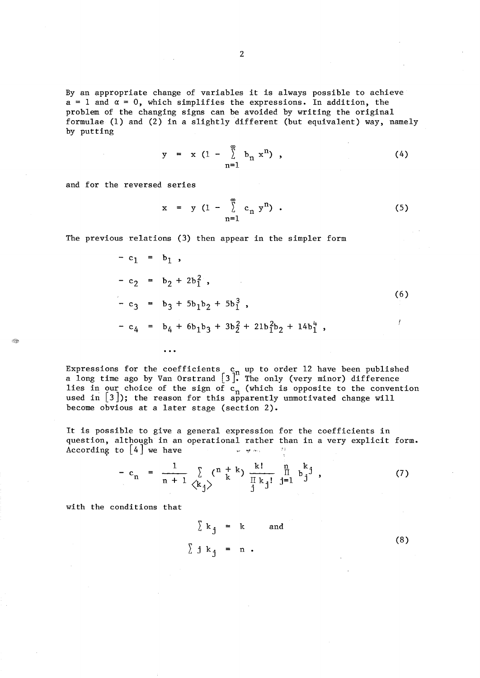By an appropriate change of variables it is always possible to achieve  $a = 1$  and  $\alpha = 0$ , which simplifies the expressions. In addition, the problem of the changing signs can be avoided by writing the original formulae (1) and (2) in a slightly different (but equivalent) way, namely by putting

$$
y = x (1 - \sum_{n=1}^{\infty} b_n x^n), \qquad (4)
$$

and for the reversed series

$$
x = y (1 - \sum_{n=1}^{\infty} c_n y^n) .
$$
 (5)

The previous relations (3) then appear in the simpler form

 $\ddotsc$ 

$$
- c_1 = b_1,
$$
  
\n
$$
- c_2 = b_2 + 2b_1^2,
$$
  
\n
$$
- c_3 = b_3 + 5b_1b_2 + 5b_1^3,
$$
  
\n
$$
- c_4 = b_4 + 6b_1b_3 + 3b_2^2 + 21b_1^2b_2 + 14b_1^4,
$$
  
\n(6)

Expressions for the coefficients  $c_n$  up to order 12 have been published<br>a long time ago by Van Orstrand  $\begin{bmatrix} 3 \end{bmatrix}$ . The only (very minor) difference lies in our choice of the sign of  $c_n$  (which is opposite to the convention used in  $[3]$ ); the reason for this apparently unmotivated change will become obvious at a later stage (section 2).

It is possible to give a general expression for the coefficients in question, although in an operational rather than in a very explicit form. According to  $|4|$  we have  $\mathcal{F}$  ).

$$
- c_n = \frac{1}{n+1} \sum_{\langle k_j \rangle} {n+k \choose k} \frac{k!}{\prod_{j} k_j!} \frac{n}{j!} b_j^{k} j , \qquad (7)
$$

with the conditions that

$$
\sum k_j = k \quad \text{and} \quad (8)
$$
\n
$$
\sum j k_j = n .
$$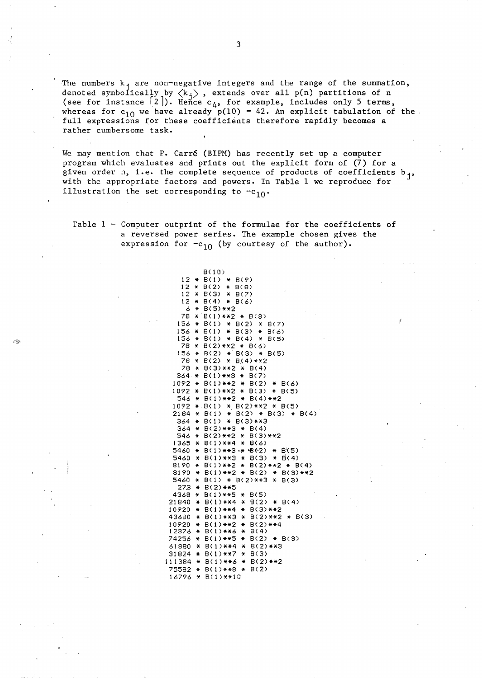The numbers  $k_{\text{+}}$  are non-negative integers and the range of the summation, denoted symbolically by  $\langle k_i \rangle$ , extends over all p(n) partitions of n<br>  $\langle k_i \rangle$  are  $\langle k_i \rangle$ , extends over all p(n) partitions of n (see for instance  $\lbrack 2 \rbrack$ ). Hence  $\mathsf{c}_4$ , for example, includes only 5 terms, whereas for  $c_{10}$  we have already  $p(10) = 42$ . An explicit tabulation of the full expressions for these coefficients therefore rapidly becomes a rather cumbersome task.

We may mention that P. Carre (BIPM) has recently set up a computer program which evaluates and prints out the explicit form of (7) for a given order n, i.e. the complete sequence of products of coefficients  $b_{j}$ , with the appropriate factors and powers. In Table I we reproduce for illustration the set corresponding to  $-c_{10}$ .

Table  $1$  - Computer outprint of the formulae for the coefficients of a reversed power series. The example chosen gives the expression for  $-c_{10}$  (by courtesy of the author).

> B<1 0) 12 \* B(1) \* B(9) 12 \* 8(2) \* 8(8) 12 \* 8(3) \* 8(7)  $12 * B(4) * B(6)$ 6 \* B(5)\*\*2 78 \*·B(1)\*\*2 \* B(8) 156 \* B(l) \* B(2) \* B(7) 156 \* B(1) \* B(3) \* B(6) 156 \* B(l) \* B(4) \* B(5) 78 \* B(2)\*\*2 \* B(6) 156 \* B(2) \* B(3) \* 8(5) 78 \*  $B(2)$  \*  $B(4)$ \*\*2 78 \* 8(3)\*\*2 \* 8(4) 364 \* B(1)\*\*3 \* B(7) 1092 \* 8(1)\*\*2 \* B(2) \* B(6) 1092 \* B(1)\*\*2 \* B(3) \* B(5) 546 \* B(1)\*\*2 \* B(4)\*\*2 1092 \* B(l) \*.8(2)\*\*2 \* B(5)  $2184 * B(1) * B(2) * B(3) * B(4)$ 364 \* 8(1) \* B(3)\*\*3 364 \* 8(2)\*\*3 \* B(4) 546 \* B(2)\*\*2 \* B(3)\*\*2 1365 \* 8(1)\*\*4 \* B(6)  $5460 * B(1)$ \*\*3.\*  $B(2) * B(5)$ 5460 \* B(1)\*\*3 \* B(3) \* B(4) 8190 \* B(1)\*\*2 \* B(2)\*\*2 \* B(4) 8190 \* B(1)\*\*2 \* 8(2) \* 8(3)\*\*2 5460 \* B(l) \* B(2)\*\*3 \* B(3) 27.3 \* B(2)\*\*5 4368 \* B(1)\*\*5 \* 8(5) 21840 \* B(1)\*\*4 \* B(2) \* B(4) 10920 \* 8(1)\*\*4 \* 8(3)\*\*2 43680 \* B(1)\*\*3 \* 8(2)\*\*2 \* B(3) 10920 \* 8(1)\*\*2 \* 8(2)\*\*4 12376 \* B(1)\*\*6 \* 8(4) 74256 \* 8(1)\*\*5 \* 8(2) \* B(3) 61880 \* B(1)\*\*4 \* B(2)\*\*3 31824 \* B(1)\*\*7 \* B(3) 111384 \* B(1)\*\*6 \* B(2)\*\*2 75582 \* B(1)\*\*8 \* B(2) 16796 \* B(1)\*\*10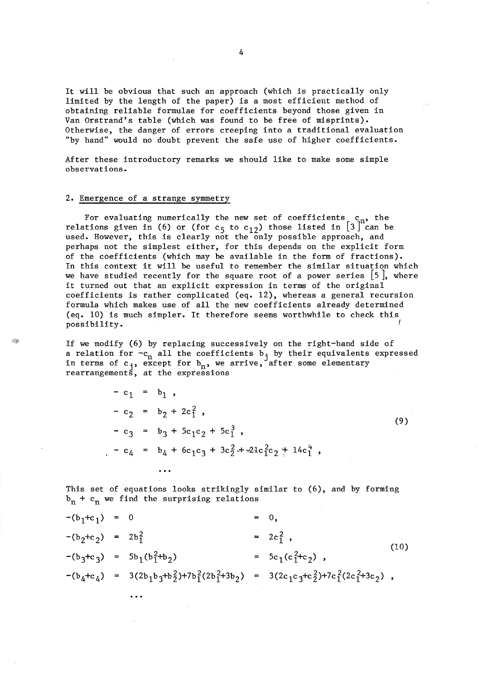It will be obvious that such an approach (which is practically only limited by the length of the paper) is a most efficient method of obtaining reliable formulae for coefficients beyond those given in Van Orstrand's table (which was found to be free of misprints). Otherwise, the danger of errors creeping into a traditional evaluation "by hand" would no doubt prevent the safe use of higher coefficients.

After these introductory remarks we should like to make some simple observations.

## 2. Emergence of a strange symmetry

 $\ddotsc$ 

Â.

For evaluating numerically the new set of coefficients  $c_n$ , the relations given in (6) or (for  $c_5$  to  $c_{12}$ ) those listed in  $\left[3\right]^\text{n}$  can be used. However, this is clearly not the only possible approach, and perhaps not the simplest either, for this depends on the explicit form of the coefficients (which may be available in the form of fractions). In this context it will be useful to remember the similar situation which we have studied recently for the square root of a power series *[S],* where it turned out that an explicit expression in terms of the original coefficients is rather complicated (eq. 12), whereas a general recursion formula which makes use of all the new coefficients already determined (eq. 10) is much simpler. It therefore seems worthwhile to check this possibility.

If we modify (6) by replacing successively on the right-hand side of a relation for  $-c_n$  all the coefficients bj by their equivalents expressed in terms of  $c_j$ , except for  $b_n$ , we arrive, after some elementary rearrangements, at the expressions

> $-c_1 = b_1$ ,  $-c_2 = b_2 + 2c_1^2$  $-c_3 = b_3 + 5c_1c_2 + 5c_1^3$ ,  $-c_4 = b_4 + 6c_1c_3 + 3c_2^2 + 21c_1^2c_2 + 14c_1^4$ ,

 $(9)$ 

This set of equations looks strikingly similar to (6), and by forming  $b_n + c_n$  we find the surprising relations

 $-(b_1+c_1) = 0$  = 0,  $-(b_2+c_2) = 2b_1^2$  =  $2c_1^2$ ,  $(10)$  $-(b_3+c_3) = 5b_1(b_1^2+b_2)$ =  $5c_1(c_1^2+c_2)$ ,  $-(b_4+c_4) = 3(2b_1b_3+b_2^2)+7b_1^2(2b_1^2+3b_2) = 3(2c_1c_3+c_2^2)+7c_1^2(2c_1^2+3c_2)$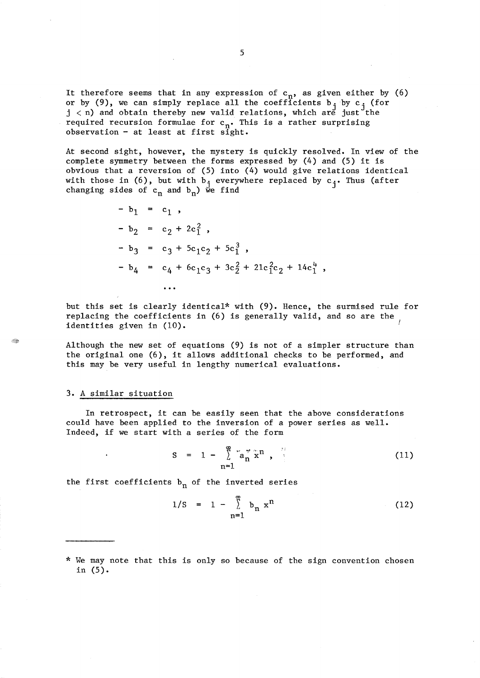It therefore seems that in any expression of  $c_n$ , as given either by (6) or by (9), we can simply replace all the coefficients  $b_j$  by  $c_j$  (for  $j$   $<$  n) and obtain thereby new valid relations, which are just the required recursion formulae for  $c_n$ . This is a rather surprising observation - at least at first sight.

At second sight, however, the mystery is quickly resolved. In view of the complete symmetry between the forms expressed by (4) and (5) it is obvious that a reversion of (5) into (4) would give relations identical with those in (6), but with  $b_j$  everywhere replaced by  $c_j$ . Thus (after changing sides of  $c_n$  and  $b_n$ ) we find

> $- b_1 = c_1$ ,  $- b_2 = c_2 + 2c_1^2$  $- b_3 = c_3 + 5c_1c_2 + 5c_1^3$ ,  $-b_4 = c_4 + 6c_1c_3 + 3c_2^2 + 21c_1^2c_2 + 14c_1^4$ ,

but this set is clearly identical\* with (9). Hence, the surmised rule for replacing the coefficients in (6) is generally valid, and so are the identities given in (10).

Although the new set of equations (9) is not of a simpler structure than the original one (6), it allows additional checks to be performed, and this may be very useful in lengthy numerical evaluations.

#### 3. A similar situation

In retrospect, it can be easily seen that the above considerations could have been applied to the inversion of a power series as well. Indeed, if we start with a series of the form

$$
S = 1 - \sum_{n=1}^{\infty} a_n^{\pi} \tilde{x}^n , \qquad (11)
$$

the first coefficients  $b_n$  of the inverted series

$$
1/S = 1 - \sum_{n=1}^{\infty} b_n x^n
$$
 (12)

\* We may note that this is only so because of the sign convention chosen in (5).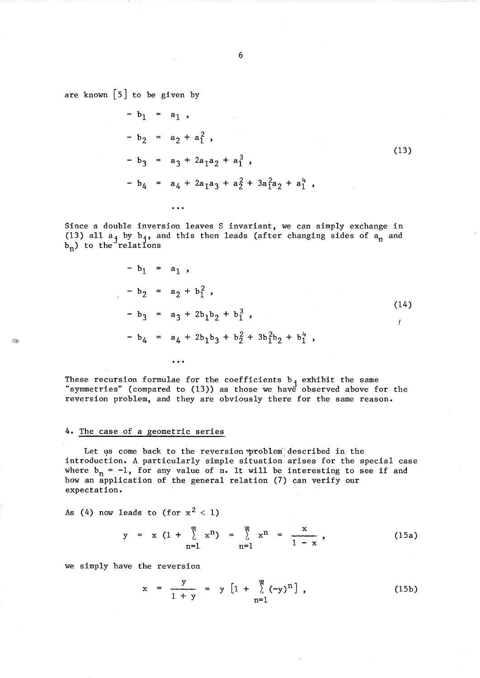are known  $\lceil 5 \rceil$  to be given by

$$
- b1 = a1,\n- b2 = a2 + a12,\n- b3 = a3 + 2a1a2 + a13,\n- b4 = a4 + 2a1a3 + a22 + 3a12a2 + a14,\n...
$$

Since a double inversion leaves S invariant, we can simply exchange in (13) all  $a_j$  by  $b_j$ , and this then leads (after changing sides of  $a_n$  and  $b_n$ ) to the relations

$$
- b1 = a1,\n- b2 = a2 + b12,\n- b3 = a3 + 2b1b2 + b13,\n- b4 = a4 + 2b1b3 + b22 + 3b12b2 + b14,
$$
\n(14)

These recursion formulae for the coefficients  $b_j$  exhibit the same "symmetries" (compared to (13)) as those we have observed above for the reversion problem, and they are obviously there for the same reason.

# 4. The case of a geometric series

**Rep** 

Let us come back to the reversion problem described in the introduction. A particularly simple situation'arises for the special case where  $b_n = -1$ , for any value of n. It will be interesting to see if and how an application of the general relation (7) can verify our expectation.

As (4) now leads to (for  $x^2 < 1$ )

$$
y = x (1 + \sum_{n=1}^{\infty} x^{n}) = \sum_{n=1}^{\infty} x^{n} = \frac{x}{1 - x},
$$
 (15a)

we simply have the reversion

$$
x = \frac{y}{1 + y} = y [1 + \sum_{n=1}^{\infty} (-y)^n], \qquad (15b)
$$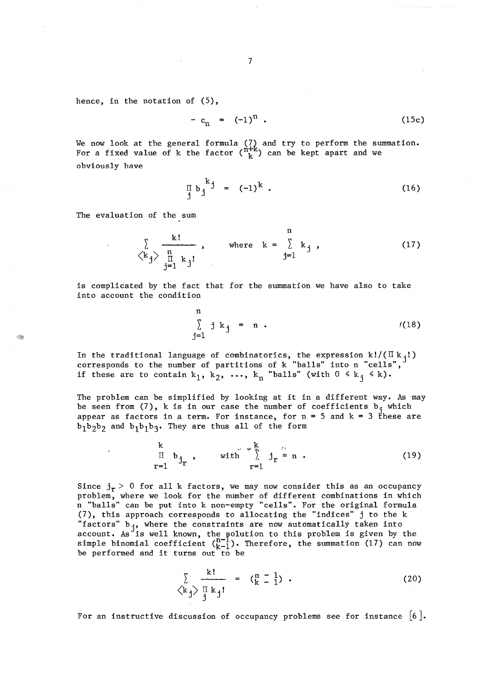$$
-c_n = (-1)^n
$$
 (15c)

We now look at the general formula  $(7)$  and try to perform the summation. For a fixed value of k the factor  $(\begin{smallmatrix} n\mp\kappa\ k \end{smallmatrix})$  can be kept apart and we obviously have

$$
\prod_{j} b_j^k = (-1)^k.
$$
 (16)

The evaluation of the sum

EB.

$$
\begin{array}{ccc}\n\sum_{k,j} & k! & n \\
\langle k_j \rangle & \frac{n}{\prod_{j=1}^{n} k_j!} & , & \text{where} & k = \sum_{j=1}^{n} k_j, \\
\end{array}
$$
\n(17)

is complicated by the fact that for the summation we have also to take into account the condition

$$
\sum_{j=1}^{n} j k_j = n .
$$
 (18)

In the traditional language of combinatorics, the expression  $k!/(\Pi k_{\texttt{i}}!)$ corresponds to the number of partitions of k "balls" into n "cells", if these are to contain  $k_1$ ,  $k_2$ ,  $\ldots$ ,  $k_n$  "balls" (with  $0 \le k_j \le k$ ).

The problem can be simplified by looking at it in a different way. As may be seen from  $(7)$ , k is in our case the number of coefficients  $b_i$  which appear as factors in a term. For instance, for  $n = 5$  and  $k = 3$  these are  $b_1b_2b_2$  and  $b_1b_1b_3$ . They are thus all of the form

$$
\begin{array}{cccc}\n & k \\
\pi & b_{j_r} & , & \text{with} & \sum_{r=1}^{k} j_r \neq n .\n\end{array} (19)
$$

Since  $j_r > 0$  for all k factors, we may now consider this as an occupancy problem, where we look for the number of different combinations in which n "balls" can be put into k non-empty "cells". For the original formula (7), this approach corresponds to allocating the "indices" j to the k "factors"  $b_{j}$ , where the constraints are now automatically taken into account. As is well known, the solution to this problem is given by the simple binomial coefficient  $\binom{n-1}{k-1}$ . Therefore, the summation (17) can now be performed and it turns out to be

$$
\sum_{\begin{subarray}{c}\n\langle k,j\rangle & \text{if } k,j \\
\text{if } k,j\n\end{subarray}} \begin{array}{c}\n\text{if } k=1 \\
\text{if } k=1\n\end{array} \tag{20}
$$

For an instructive discussion of occupancy problems see for instance  $[6]$ .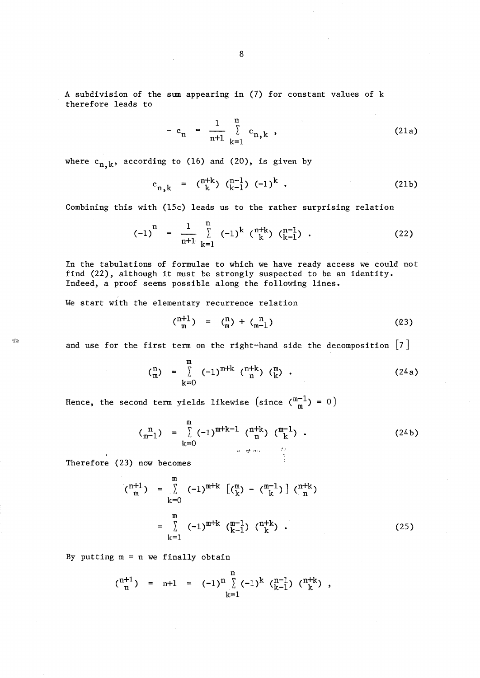A subdivision of the sum appearing in (7) for constant values of k therefore leads to

$$
- c_n = \frac{1}{n+1} \sum_{k=1}^{n} c_{n,k} , \qquad (21a)
$$

where  $c_{n,k}$ , according to (16) and (20), is given by

$$
c_{n,k} = \binom{n+k}{k} \binom{n-1}{k-1} (-1)^k . \tag{21b}
$$

Combining this with (15c) leads us to the rather surprising relation

$$
(-1)^{n} = \frac{1}{n+1} \sum_{k=1}^{n} (-1)^{k} \binom{n+k}{k} \binom{n-1}{k-1} . \qquad (22)
$$

In the tabulations of formulae to which we have ready access we could not find (22), although it must be strongly suspected to be an identity. Indeed, a proof seems possible along the following lines.

We start with the elementary recurrence relation

$$
{n+1 \choose m} = {n \choose m} + {n \choose m-1} \tag{23}
$$

and use for the first term on the right-hand side the decomposition  $\lceil 7 \rceil$ 

$$
\begin{array}{lll}\n\binom{n}{m} & = & \sum\limits_{k=0}^{m} & (-1)^{m+k} & \binom{n+k}{n} & \binom{m}{k} & \end{array} \tag{24a}
$$

Hence, the second term yields likewise (since  $\binom{m-1}{m} = 0$ )

$$
\begin{array}{lll}\n\binom{n}{m-1} &=& \sum_{k=0}^{m} (-1)^{m+k-1} \binom{n+k}{n} \binom{m-1}{k} \, .\n\end{array} \tag{24b}
$$

Therefore (23) now becomes

C.

$$
\begin{array}{rcl}\n(\binom{n+1}{m}) & = & \sum\limits_{k=0}^{m} & (-1)^{m+k} \left[ \binom{m}{k} - \binom{m-1}{k} \right] \binom{n+k}{n} \\
& = & \sum\limits_{k=1}^{m} & (-1)^{m+k} \binom{m-1}{k-1} \binom{n+k}{k} \, .\n\end{array}\n\tag{25}
$$

By putting  $m = n$  we finally obtain

 $\bar{\mathcal{A}}$ 

$$
\binom{n+1}{n} = n+1 = (-1)^n \sum_{k=1}^n (-1)^k \binom{n-1}{k-1} \binom{n+k}{k},
$$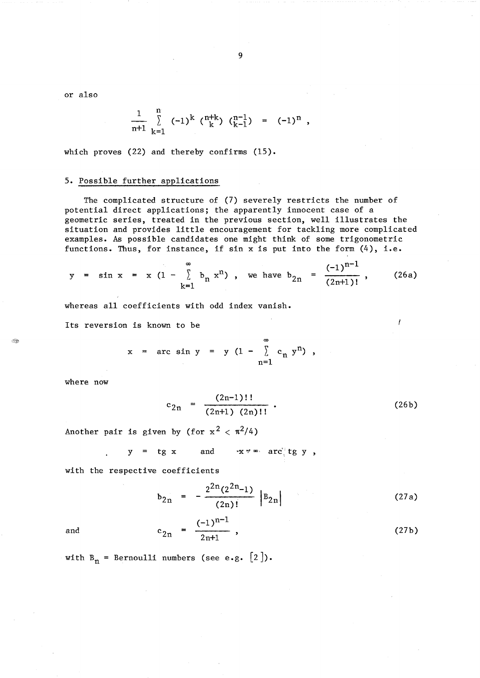or also

$$
\frac{1}{n+1} \sum_{k=1}^{n} (-1)^{k} \binom{n+k}{k} \binom{n-1}{k-1} = (-1)^{n},
$$

which proves (22) and thereby confirms (15).

## 5. Possible further applications

The complicated structure of (7) severely restricts the number of potential direct applications; the apparently innocent case of a geometric series, treated in the previous section, well illustrates the situation and provides little encouragement for tackling more complicated examples. As possible candidates one might think of some trigonometric functions. Thus, for instance, if sin x is put into the form (4), i.e.

$$
y = \sin x = x (1 - \sum_{k=1}^{\infty} b_n x^n)
$$
, we have  $b_{2n} = \frac{(-1)^{n-1}}{(2n+1)!}$ , (26a)

whereas all coefficients with odd index vanish.

Its reversion is known to be

$$
x = \arcsin y = y (1 - \sum_{n=1}^{\infty} c_n y^n)
$$
,

where now

 $\ddot{\phantom{a}}$ 

$$
c_{2n} = \frac{(2n-1)!!}{(2n+1) (2n)!!} \t{26b}
$$

 $\mathbf{I}$ 

Another pair is given by (for  $x^2 < \pi^2/4$ )

$$
y = tg x \qquad \text{and} \qquad x \neq -\arctan \csc \csc \csc y,
$$

with the respective coefficients

$$
b_{2n} = -\frac{2^{2n}(2^{2n}-1)}{(2n)!} |B_{2n}|
$$
 (27a)

and 
$$
c_{2n} = \frac{(-1)^{n-1}}{2n+1}
$$
, (27b)

with  $B_n$  = Bernoulli numbers (see e.g.  $[2]$ ).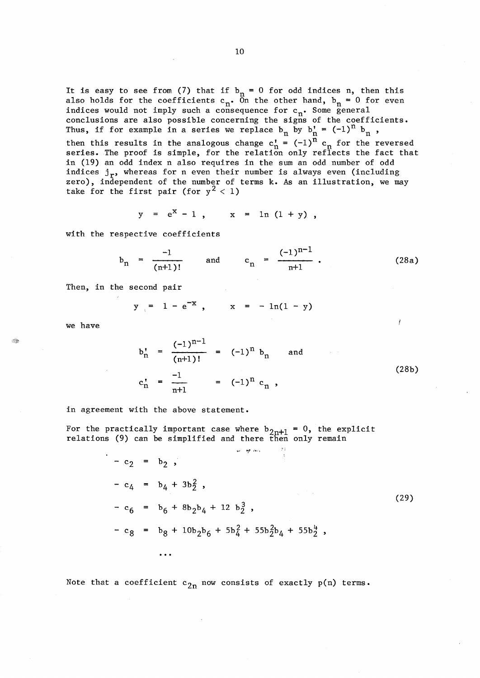It is easy to see from (7) that if  $b_n = 0$  for odd indices n, then this also holds for the coefficients  $c_n$ . On the other hand,  $b_n = 0$  for even indices would not imply such a consequence for  $c_n$ . Some general conclusions are also possible concerning the signs of the coefficients. Thus, if for example in a series we replace  $b_n$  by  $b'_n = (-1)^n b_n$ , then this results in the analogous change  $c_n' = (-1)^n c_n$  for the reversed series. The proof is simple, for the relation only reflects the fact that in (19) an odd index n also requires in the sum an odd number of odd indices  $j_r$ , whereas for n even their number is always even (including zero), independent of the number of terms k. As an illustration, we may take for the first pair (for  $y^2 < 1$ )

$$
y = e^X - 1
$$
,  $x = \ln (1 + y)$ ,

with the respective coefficients

$$
b_n = \frac{-1}{(n+1)!} \quad \text{and} \quad c_n = \frac{(-1)^{n-1}}{n+1} \tag{28a}
$$

Then, in the second pair

$$
y = 1 - e^{-x}
$$
,  $x = -\ln(1 - y)$ 

we have

$$
b'_{n} = \frac{(-1)^{n-1}}{(n+1)!} = (-1)^{n} b_{n} \text{ and}
$$
  

$$
c'_{n} = \frac{-1}{n+1} = (-1)^{n} c_{n} ,
$$
 (28b)

in agreement with the above statement.

For the practically important case where  $b_{2n+1} = 0$ , the explicit relations (9) can be simplified and there then only remain

$$
- c_2 = b_2,
$$
  
\n
$$
- c_4 = b_4 + 3b_2^2,
$$
  
\n
$$
- c_6 = b_6 + 8b_2b_4 + 12 b_2^3,
$$
  
\n
$$
- c_8 = b_8 + 10b_2b_6 + 5b_4^2 + 55b_2^2b_4 + 55b_2^4,
$$
  
\n...

Note that a coefficient  $c_{2n}$  now consists of exactly  $p(n)$  terms.